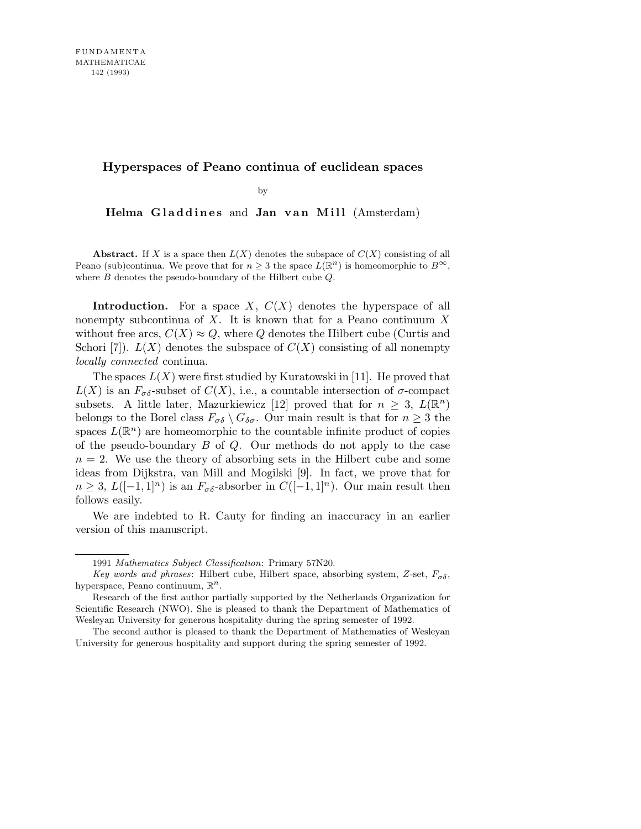## **Hyperspaces of Peano continua of euclidean spaces**

by

Helma Gladdines and Jan van Mill (Amsterdam)

**Abstract.** If *X* is a space then  $L(X)$  denotes the subspace of  $C(X)$  consisting of all Peano (sub)continua. We prove that for  $n \geq 3$  the space  $L(\mathbb{R}^n)$  is homeomorphic to  $B^{\infty}$ , where *B* denotes the pseudo-boundary of the Hilbert cube *Q*.

**Introduction.** For a space X,  $C(X)$  denotes the hyperspace of all nonempty subcontinua of  $X$ . It is known that for a Peano continuum X without free arcs,  $C(X) \approx Q$ , where Q denotes the Hilbert cube (Curtis and Schori [7]).  $L(X)$  denotes the subspace of  $C(X)$  consisting of all nonempty locally connected continua.

The spaces  $L(X)$  were first studied by Kuratowski in [11]. He proved that  $L(X)$  is an  $F_{\sigma\delta}$ -subset of  $C(X)$ , i.e., a countable intersection of  $\sigma$ -compact subsets. A little later, Mazurkiewicz [12] proved that for  $n \geq 3$ ,  $L(\mathbb{R}^n)$ belongs to the Borel class  $F_{\sigma\delta} \setminus G_{\delta\sigma}$ . Our main result is that for  $n \geq 3$  the spaces  $L(\mathbb{R}^n)$  are homeomorphic to the countable infinite product of copies of the pseudo-boundary  $B$  of  $Q$ . Our methods do not apply to the case  $n = 2$ . We use the theory of absorbing sets in the Hilbert cube and some ideas from Dijkstra, van Mill and Mogilski [9]. In fact, we prove that for  $n \geq 3$ ,  $L([-1,1]^n)$  is an  $F_{\sigma\delta}$ -absorber in  $C([-1,1]^n)$ . Our main result then follows easily.

We are indebted to R. Cauty for finding an inaccuracy in an earlier version of this manuscript.

<sup>1991</sup> *Mathematics Subject Classification*: Primary 57N20.

*Key words and phrases*: Hilbert cube, Hilbert space, absorbing system,  $Z$ -set,  $F_{\sigma\delta}$ , hyperspace, Peano continuum, R *n* .

Research of the first author partially supported by the Netherlands Organization for Scientific Research (NWO). She is pleased to thank the Department of Mathematics of Wesleyan University for generous hospitality during the spring semester of 1992.

The second author is pleased to thank the Department of Mathematics of Wesleyan University for generous hospitality and support during the spring semester of 1992.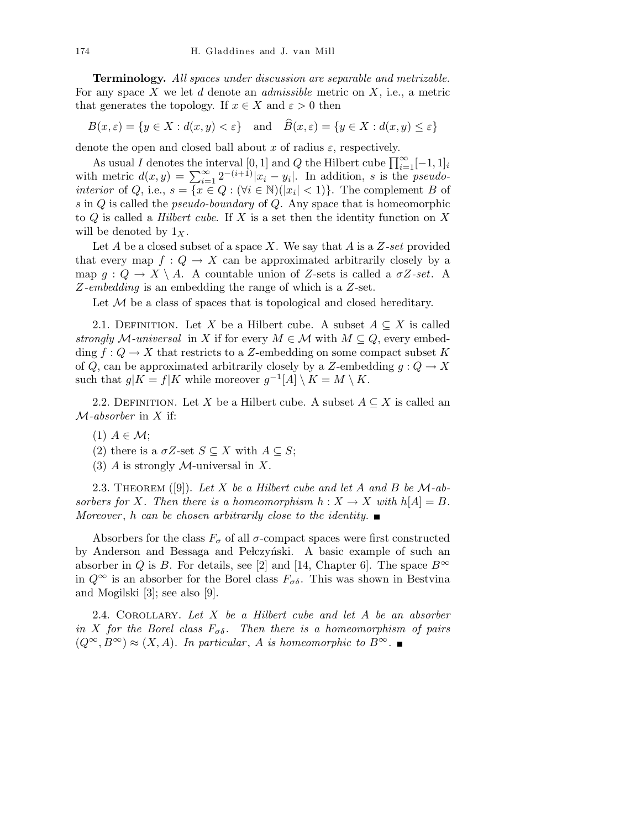Terminology. All spaces under discussion are separable and metrizable. For any space  $X$  we let  $d$  denote an *admissible* metric on  $X$ , i.e., a metric that generates the topology. If  $x \in X$  and  $\varepsilon > 0$  then

$$
B(x,\varepsilon) = \{ y \in X : d(x,y) < \varepsilon \} \quad \text{and} \quad B(x,\varepsilon) = \{ y \in X : d(x,y) \le \varepsilon \}
$$

denote the open and closed ball about x of radius  $\varepsilon$ , respectively.

As usual I denotes the interval [0, 1] and Q the Hilbert cube  $\prod_{i=1}^{\infty}[-1,1]_i$ with metric  $d(x,y) = \sum_{i=1}^{\infty} 2^{-(i+1)}|x_i - y_i|$ . In addition, s is the *pseudointerior* of Q, i.e.,  $s = \overline{\{x \in Q : (\forall i \in \mathbb{N}) | |x_i| < 1\}}$ . The complement B of s in  $Q$  is called the *pseudo-boundary* of  $Q$ . Any space that is homeomorphic to  $Q$  is called a *Hilbert cube*. If X is a set then the identity function on X will be denoted by  $1_X$ .

Let A be a closed subset of a space X. We say that A is a  $Z\text{-}set$  provided that every map  $f: Q \to X$  can be approximated arbitrarily closely by a map  $g: Q \to X \setminus A$ . A countable union of Z-sets is called a  $\sigma Z$ -set. A Z-embedding is an embedding the range of which is a Z-set.

Let  $M$  be a class of spaces that is topological and closed hereditary.

2.1. DEFINITION. Let X be a Hilbert cube. A subset  $A \subseteq X$  is called strongly M-universal in X if for every  $M \in \mathcal{M}$  with  $M \subseteq Q$ , every embedding  $f: Q \to X$  that restricts to a Z-embedding on some compact subset K of Q, can be approximated arbitrarily closely by a Z-embedding  $g: Q \to X$ such that  $g|K = f|K$  while moreover  $g^{-1}[A] \setminus K = M \setminus K$ .

2.2. DEFINITION. Let X be a Hilbert cube. A subset  $A \subseteq X$  is called an  $M$ -absorber in X if:

- $(1)$   $A \in \mathcal{M}$ ;
- (2) there is a  $\sigma Z$ -set  $S \subseteq X$  with  $A \subseteq S$ ;
- (3) A is strongly  $M$ -universal in X.

2.3. THEOREM  $([9])$ . Let X be a Hilbert cube and let A and B be M-absorbers for X. Then there is a homeomorphism  $h: X \to X$  with  $h[A] = B$ . Moreover, h can be chosen arbitrarily close to the identity.  $\blacksquare$ 

Absorbers for the class  $F_{\sigma}$  of all  $\sigma$ -compact spaces were first constructed by Anderson and Bessaga and Pełczyński. A basic example of such an absorber in Q is B. For details, see [2] and [14, Chapter 6]. The space  $B^{\infty}$ in  $Q^{\infty}$  is an absorber for the Borel class  $F_{\sigma\delta}$ . This was shown in Bestvina and Mogilski [3]; see also [9].

2.4. COROLLARY. Let  $X$  be a Hilbert cube and let  $A$  be an absorber in X for the Borel class  $F_{\sigma\delta}$ . Then there is a homeomorphism of pairs  $(Q^{\infty}, B^{\infty}) \approx (X, A)$ . In particular, A is homeomorphic to  $B^{\infty}$ .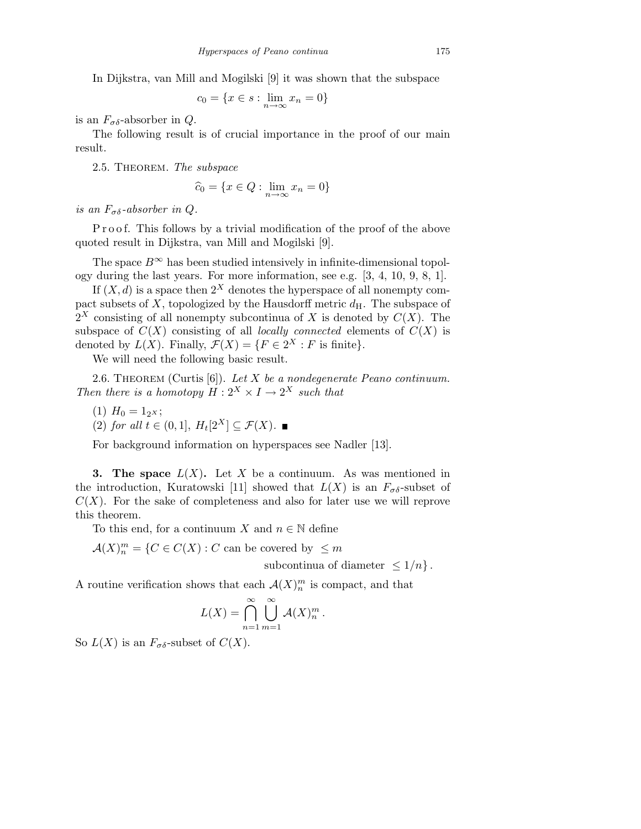In Dijkstra, van Mill and Mogilski [9] it was shown that the subspace

$$
c_0 = \{x \in s : \lim_{n \to \infty} x_n = 0\}
$$

is an  $F_{\sigma\delta}$ -absorber in Q.

The following result is of crucial importance in the proof of our main result.

2.5. THEOREM. The subspace

$$
\widehat{c}_0 = \{ x \in Q : \lim_{n \to \infty} x_n = 0 \}
$$

is an  $F_{\sigma\delta}$ -absorber in Q.

P r o o f. This follows by a trivial modification of the proof of the above quoted result in Dijkstra, van Mill and Mogilski [9].

The space  $B^{\infty}$  has been studied intensively in infinite-dimensional topology during the last years. For more information, see e.g. [3, 4, 10, 9, 8, 1].

If  $(X, d)$  is a space then  $2^X$  denotes the hyperspace of all nonempty compact subsets of X, topologized by the Hausdorff metric  $d_H$ . The subspace of  $2^X$  consisting of all nonempty subcontinua of X is denoted by  $C(X)$ . The subspace of  $C(X)$  consisting of all *locally connected* elements of  $C(X)$  is denoted by  $L(X)$ . Finally,  $\mathcal{F}(X) = \{F \in 2^X : F \text{ is finite}\}.$ 

We will need the following basic result.

2.6. THEOREM (Curtis  $[6]$ ). Let X be a nondegenerate Peano continuum. Then there is a homotopy  $H: 2^X \times I \to 2^X$  such that

(1)  $H_0 = 1_{2^X};$ 

(2) for all  $t \in (0,1], H_t[2^X] \subseteq \mathcal{F}(X)$ .

For background information on hyperspaces see Nadler [13].

**3. The space**  $L(X)$ . Let X be a continuum. As was mentioned in the introduction, Kuratowski [11] showed that  $L(X)$  is an  $F_{\sigma\delta}$ -subset of  $C(X)$ . For the sake of completeness and also for later use we will reprove this theorem.

To this end, for a continuum X and  $n \in \mathbb{N}$  define

 $\mathcal{A}(X)_n^m = \{C \in C(X) : C$  can be covered by  $\leq m$ 

subcontinua of diameter  $\leq 1/n$ .

A routine verification shows that each  $\mathcal{A}(X)_n^m$  is compact, and that

$$
L(X) = \bigcap_{n=1}^{\infty} \bigcup_{m=1}^{\infty} \mathcal{A}(X)_n^m.
$$

So  $L(X)$  is an  $F_{\sigma\delta}$ -subset of  $C(X)$ .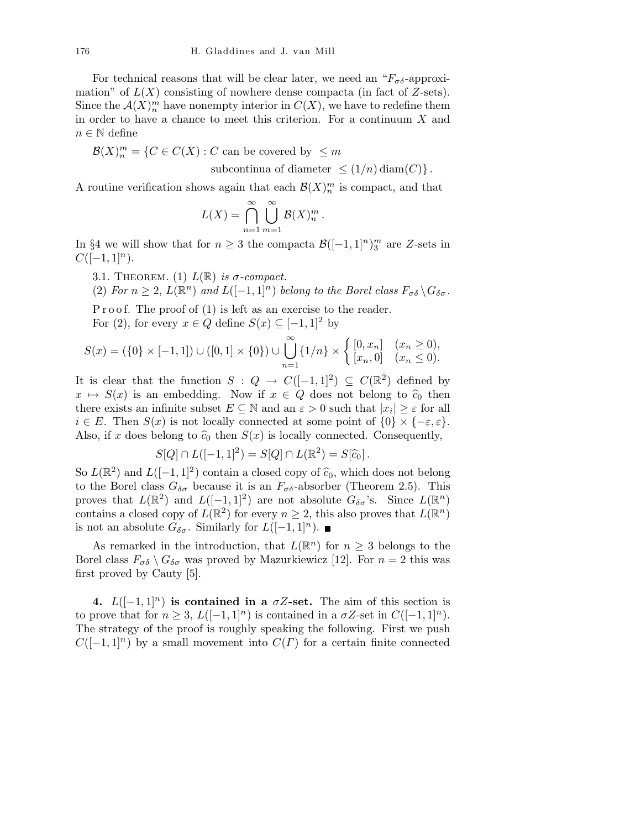For technical reasons that will be clear later, we need an " $F_{\sigma\delta}$ -approximation" of  $L(X)$  consisting of nowhere dense compacta (in fact of Z-sets). Since the  $\mathcal{A}(X)_n^m$  have nonempty interior in  $C(X)$ , we have to redefine them in order to have a chance to meet this criterion. For a continuum  $X$  and  $n \in \mathbb{N}$  define

 $\mathcal{B}(X)_n^m = \{C \in C(X) : C$  can be covered by  $\leq m$ 

subcontinua of diameter  $\leq (1/n) \operatorname{diam}(C)$ .

.

A routine verification shows again that each  $\mathcal{B}(X)_n^m$  is compact, and that

$$
L(X) = \bigcap_{n=1}^{\infty} \bigcup_{m=1}^{\infty} \mathcal{B}(X)_n^m
$$

In §4 we will show that for  $n \geq 3$  the compacta  $\mathcal{B}([-1,1]^n)_3^m$  are Z-sets in  $C([-1, 1]<sup>n</sup>).$ 

- 3.1. THEOREM. (1)  $L(\mathbb{R})$  is  $\sigma$ -compact.
- (2) For  $n \geq 2$ ,  $L(\mathbb{R}^n)$  and  $L([-1,1]^n)$  belong to the Borel class  $F_{\sigma\delta} \setminus G_{\delta\sigma}$ .

P r o o f. The proof of  $(1)$  is left as an exercise to the reader. For (2), for every  $x \in Q$  define  $S(x) \subseteq [-1,1]^2$  by

$$
S(x) = (\{0\} \times [-1,1]) \cup ([0,1] \times \{0\}) \cup \bigcup_{n=1}^{\infty} \{1/n\} \times \begin{cases} [0,x_n] & (x_n \ge 0), \\ [x_n,0] & (x_n \le 0). \end{cases}
$$

It is clear that the function  $S: Q \to C([-1,1]^2) \subseteq C(\mathbb{R}^2)$  defined by  $x \mapsto S(x)$  is an embedding. Now if  $x \in Q$  does not belong to  $\hat{c}_0$  then there exists an infinite subset  $E \subseteq \mathbb{N}$  and an  $\varepsilon > 0$  such that  $|x_i| \geq \varepsilon$  for all  $i \in E$ . Then  $S(x)$  is not locally connected at some point of  $\{0\} \times \{-\varepsilon, \varepsilon\}.$ Also, if x does belong to  $\hat{c}_0$  then  $S(x)$  is locally connected. Consequently,

$$
S[Q] \cap L([-1,1]^2) = S[Q] \cap L(\mathbb{R}^2) = S[\widehat{c}_0].
$$

So  $L(\mathbb{R}^2)$  and  $L([-1, 1]^2)$  contain a closed copy of  $\widehat{c}_0$ , which does not belong to the Borel class  $G_{\delta\sigma}$  because it is an  $F_{\sigma\delta}$ -absorber (Theorem 2.5). This proves that  $L(\mathbb{R}^2)$  and  $L([-1,1]^2)$  are not absolute  $G_{\delta\sigma}$ 's. Since  $L(\mathbb{R}^n)$ contains a closed copy of  $L(\mathbb{R}^2)$  for every  $n \geq 2$ , this also proves that  $L(\mathbb{R}^n)$ is not an absolute  $G_{\delta\sigma}$ . Similarly for  $L([-1, 1]^n)$ . ■

As remarked in the introduction, that  $L(\mathbb{R}^n)$  for  $n \geq 3$  belongs to the Borel class  $F_{\sigma\delta} \setminus G_{\delta\sigma}$  was proved by Mazurkiewicz [12]. For  $n = 2$  this was first proved by Cauty [5].

4.  $L([-1, 1]^{n})$  is contained in a  $\sigma Z$ -set. The aim of this section is to prove that for  $n \geq 3$ ,  $L([-1, 1]^{n})$  is contained in a  $\sigma Z$ -set in  $C([-1, 1]^{n})$ . The strategy of the proof is roughly speaking the following. First we push  $C([-1, 1]^{n})$  by a small movement into  $C(\Gamma)$  for a certain finite connected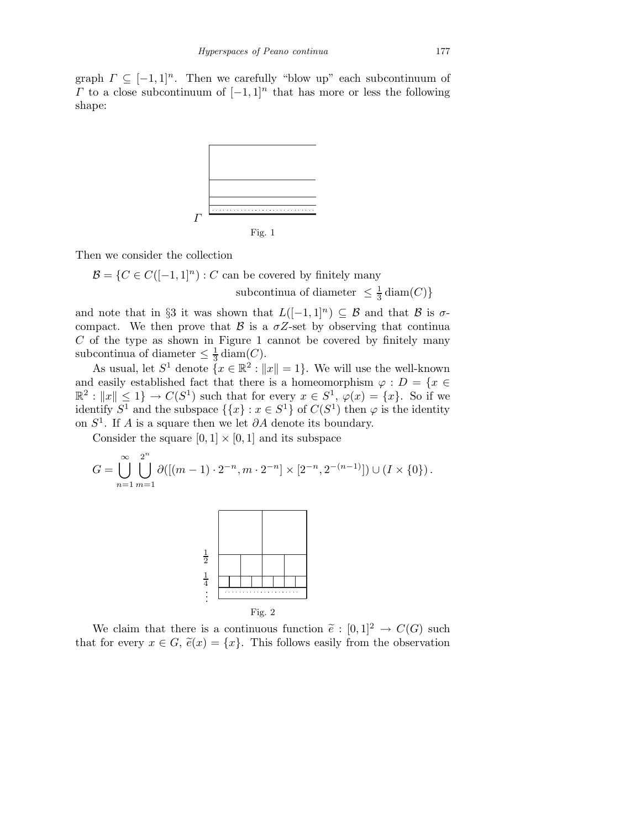graph  $\Gamma \subseteq [-1,1]^n$ . Then we carefully "blow up" each subcontinuum of  $Γ$  to a close subcontinuum of  $[−1, 1]$ <sup>n</sup> that has more or less the following shape:



Then we consider the collection

 $\mathcal{B} = \{C \in C([-1, 1]^n) : C \text{ can be covered by finitely many}\}$ subcontinua of diameter  $\leq \frac{1}{3}$  diam $(C)$ }

and note that in §3 it was shown that  $L([-1, 1]^n) \subseteq \mathcal{B}$  and that  $\mathcal{B}$  is  $\sigma$ compact. We then prove that  $\beta$  is a  $\sigma Z$ -set by observing that continua  $C$  of the type as shown in Figure 1 cannot be covered by finitely many subcontinua of diameter  $\leq \frac{1}{3}$  $rac{1}{3}$  diam(C).

As usual, let  $S^1$  denote  $\{x \in \mathbb{R}^2 : ||x|| = 1\}$ . We will use the well-known and easily established fact that there is a homeomorphism  $\varphi : D = \{x \in$  $\mathbb{R}^2 : ||x|| \leq 1$   $\to C(S^1)$  such that for every  $x \in S^1$ ,  $\varphi(x) = \{x\}$ . So if we identify  $S^1$  and the subspace  $\{\{x\} : x \in S^1\}$  of  $C(S^1)$  then  $\varphi$  is the identity on  $S<sup>1</sup>$ . If A is a square then we let  $\partial A$  denote its boundary.

Consider the square  $[0, 1] \times [0, 1]$  and its subspace

$$
G = \bigcup_{n=1}^{\infty} \bigcup_{m=1}^{2^n} \partial([(m-1) \cdot 2^{-n}, m \cdot 2^{-n}] \times [2^{-n}, 2^{-(n-1)}]) \cup (I \times \{0\}).
$$



We claim that there is a continuous function  $\tilde{e}: [0,1]^2 \to C(G)$  such that for every  $x \in G$ ,  $\tilde{e}(x) = \{x\}$ . This follows easily from the observation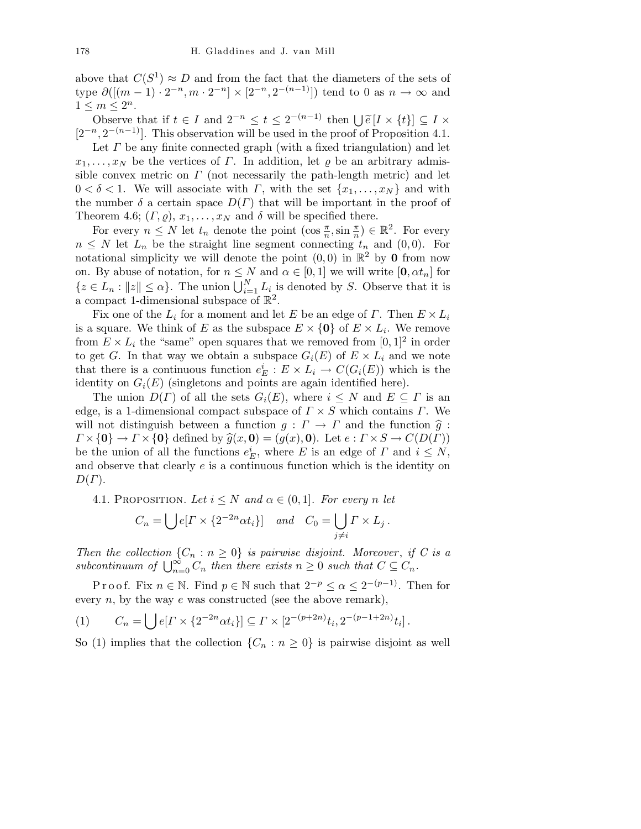above that  $C(S^1) \approx D$  and from the fact that the diameters of the sets of type  $\partial([m-1) \cdot 2^{-n}, m \cdot 2^{-n}] \times [2^{-n}, 2^{-(n-1)}]$  tend to 0 as  $n \to \infty$  and  $1 \leq m \leq 2^n$ .

Observe that if  $t \in I$  and  $2^{-n} \le t \le 2^{-(n-1)}$  then  $\bigcup_{\alpha \in I} \widetilde{e}[I \times \{t\}] \subseteq I \times$  $[2^{-n}, 2^{-(n-1)}]$ . This observation will be used in the proof of Proposition 4.1.

Let  $\Gamma$  be any finite connected graph (with a fixed triangulation) and let  $x_1, \ldots, x_N$  be the vertices of  $\Gamma$ . In addition, let  $\rho$  be an arbitrary admissible convex metric on  $\Gamma$  (not necessarily the path-length metric) and let  $0 < \delta < 1$ . We will associate with  $\Gamma$ , with the set  $\{x_1, \ldots, x_N\}$  and with the number  $\delta$  a certain space  $D(\Gamma)$  that will be important in the proof of Theorem 4.6;  $(\Gamma, \varrho), x_1, \ldots, x_N$  and  $\delta$  will be specified there.

For every  $n \leq N$  let  $t_n$  denote the point  $(\cos \frac{\pi}{n}, \sin \frac{\pi}{n}) \in \mathbb{R}^2$ . For every  $n \leq N$  let  $L_n$  be the straight line segment connecting  $t_n$  and  $(0, 0)$ . For notational simplicity we will denote the point  $(0,0)$  in  $\mathbb{R}^2$  by 0 from now on. By abuse of notation, for  $n \leq N$  and  $\alpha \in [0,1]$  we will write  $[0, \alpha t_n]$  for  $\{z \in L_n : ||z|| \leq \alpha\}$ . The union  $\bigcup_{i=1}^N L_i$  is denoted by S. Observe that it is a compact 1-dimensional subspace of  $\mathbb{R}^2$ .

Fix one of the  $L_i$  for a moment and let E be an edge of  $\Gamma$ . Then  $E \times L_i$ is a square. We think of E as the subspace  $E \times \{0\}$  of  $E \times L_i$ . We remove from  $E \times L_i$  the "same" open squares that we removed from  $[0,1]^2$  in order to get G. In that way we obtain a subspace  $G_i(E)$  of  $E \times L_i$  and we note that there is a continuous function  $e_E^i : E \times L_i \to C(G_i(E))$  which is the identity on  $G_i(E)$  (singletons and points are again identified here).

The union  $D(\Gamma)$  of all the sets  $G_i(E)$ , where  $i \leq N$  and  $E \subseteq \Gamma$  is an edge, is a 1-dimensional compact subspace of  $\Gamma \times S$  which contains  $\Gamma$ . We will not distinguish between a function  $g: \Gamma \to \Gamma$  and the function  $\hat{g}:$  $\Gamma \times \{0\} \to \Gamma \times \{0\}$  defined by  $\widehat{g}(x, 0) = (g(x), 0)$ . Let  $e : \Gamma \times S \to C(D(\Gamma))$ be the union of all the functions  $e_E^i$ , where E is an edge of  $\Gamma$  and  $i \leq N$ , and observe that clearly e is a continuous function which is the identity on  $D(\Gamma)$ .

4.1. PROPOSITION. Let  $i \leq N$  and  $\alpha \in (0,1]$ . For every n let

$$
C_n = \bigcup e[I \times \{2^{-2n} \alpha t_i\}] \quad and \quad C_0 = \bigcup_{j \neq i} \Gamma \times L_j.
$$

Then the collection  $\{C_n : n \geq 0\}$  is pairwise disjoint. Moreover, if C is a subcontinuum of  $\bigcup_{n=0}^{\infty} C_n$  then there exists  $n \geq 0$  such that  $C \subseteq C_n$ .

P r o o f. Fix  $n \in \mathbb{N}$ . Find  $p \in \mathbb{N}$  such that  $2^{-p} \le \alpha \le 2^{-(p-1)}$ . Then for every  $n$ , by the way  $e$  was constructed (see the above remark),

(1) 
$$
C_n = \bigcup e[I \times \{2^{-2n} \alpha t_i\}] \subseteq \Gamma \times [2^{-(p+2n)} t_i, 2^{-(p-1+2n)} t_i].
$$

So (1) implies that the collection  $\{C_n : n \geq 0\}$  is pairwise disjoint as well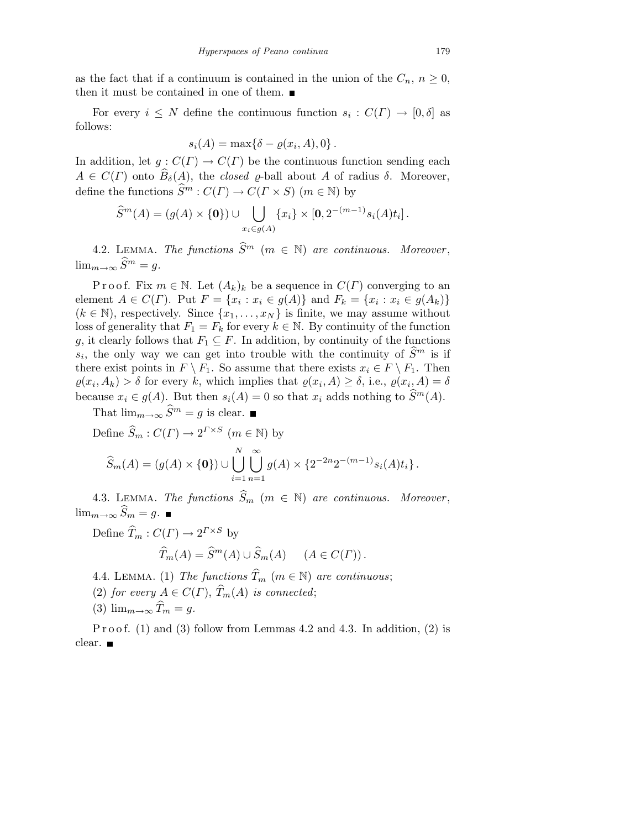as the fact that if a continuum is contained in the union of the  $C_n$ ,  $n \geq 0$ , then it must be contained in one of them.  $\blacksquare$ 

For every  $i \leq N$  define the continuous function  $s_i : C(\Gamma) \to [0, \delta]$  as follows:

$$
s_i(A) = \max\{\delta - \varrho(x_i, A), 0\}.
$$

In addition, let  $g: C(\Gamma) \to C(\Gamma)$  be the continuous function sending each  $A \in C(\Gamma)$  onto  $\widehat{B}_{\delta}(A)$ , the *closed*  $\rho$ -ball about A of radius  $\delta$ . Moreover, define the functions  $\widehat{S}^m : C(\Gamma) \to C(\Gamma \times S)$  ( $m \in \mathbb{N}$ ) by

$$
\widehat{S}^m(A) = (g(A) \times \{0\}) \cup \bigcup_{x_i \in g(A)} \{x_i\} \times [0, 2^{-(m-1)} s_i(A) t_i].
$$

4.2. LEMMA. The functions  $\widehat{S}^m$  ( $m \in \mathbb{N}$ ) are continuous. Moreover,  $\lim_{m\to\infty} \widehat{S}^m = g.$ 

P r o o f. Fix  $m \in \mathbb{N}$ . Let  $(A_k)_k$  be a sequence in  $C(\Gamma)$  converging to an element  $A \in C(\Gamma)$ . Put  $F = \{x_i : x_i \in g(A)\}$  and  $F_k = \{x_i : x_i \in g(A_k)\}\$  $(k \in \mathbb{N})$ , respectively. Since  $\{x_1, \ldots, x_N\}$  is finite, we may assume without loss of generality that  $F_1 = F_k$  for every  $k \in \mathbb{N}$ . By continuity of the function g, it clearly follows that  $F_1 \subseteq F$ . In addition, by continuity of the functions  $s_i$ , the only way we can get into trouble with the continuity of  $\hat{S}^m$  is if there exist points in  $F \setminus F_1$ . So assume that there exists  $x_i \in F \setminus F_1$ . Then  $\varrho(x_i, A_k) > \delta$  for every k, which implies that  $\varrho(x_i, A) \geq \delta$ , i.e.,  $\varrho(x_i, A) = \delta$ because  $x_i \in g(A)$ . But then  $s_i(A) = 0$  so that  $x_i$  adds nothing to  $\widehat{S}^m(A)$ .

That  $\lim_{m\to\infty} \widehat{S}^m = g$  is clear.

Define  $\widehat{S}_m : C(\Gamma) \to 2^{\Gamma \times S}$   $(m \in \mathbb{N})$  by

$$
\widehat{S}_m(A) = (g(A) \times \{\mathbf{0}\}) \cup \bigcup_{i=1}^N \bigcup_{n=1}^\infty g(A) \times \{2^{-2n} 2^{-(m-1)} s_i(A) t_i\}.
$$

4.3. LEMMA. The functions  $\widehat{S}_m$  ( $m \in \mathbb{N}$ ) are continuous. Moreover,  $\lim_{m\to\infty} \widehat{S}_m = g.$ 

Define  $\widehat{T}_m : C(\Gamma) \to 2^{\Gamma \times S}$  by

$$
\widehat{T}_m(A) = \widehat{S}^m(A) \cup \widehat{S}_m(A) \qquad (A \in C(\Gamma)).
$$

4.4. LEMMA. (1) The functions  $\widehat{T}_m$  ( $m \in \mathbb{N}$ ) are continuous;

- (2) for every  $A \in C(\Gamma)$ ,  $\widehat{T}_m(A)$  is connected;
- (3)  $\lim_{m\to\infty} \widehat{T}_m = g$ .

P r o o f.  $(1)$  and  $(3)$  follow from Lemmas 4.2 and 4.3. In addition,  $(2)$  is clear.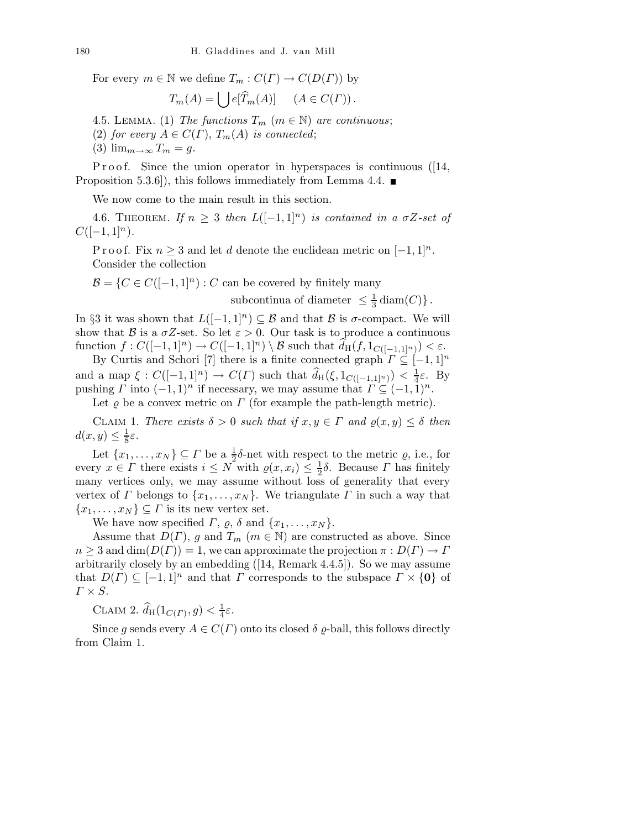For every  $m \in \mathbb{N}$  we define  $T_m : C(\Gamma) \to C(D(\Gamma))$  by

$$
T_m(A) = \bigcup e[\widehat{T}_m(A)] \quad (A \in C(\Gamma)).
$$

4.5. LEMMA. (1) The functions  $T_m$  ( $m \in \mathbb{N}$ ) are continuous;

(2) for every  $A \in C(\Gamma)$ ,  $T_m(A)$  is connected;

(3)  $\lim_{m\to\infty} T_m = g$ .

P r o o f. Since the union operator in hyperspaces is continuous ( $[14,$ Proposition 5.3.6]), this follows immediately from Lemma 4.4.  $\blacksquare$ 

We now come to the main result in this section.

4.6. THEOREM. If  $n \geq 3$  then  $L([-1,1]^n)$  is contained in a  $\sigma Z$ -set of  $C([-1, 1]<sup>n</sup>).$ 

P r o o f. Fix  $n \geq 3$  and let d denote the euclidean metric on  $[-1, 1]^n$ . Consider the collection

 $\mathcal{B} = \{C \in C([-1, 1]^n) : C$  can be covered by finitely many

subcontinua of diameter  $\leq \frac{1}{3}$  $\frac{1}{3}$  diam $(C)$ .

In §3 it was shown that  $L([-1, 1]^n) \subseteq \mathcal{B}$  and that  $\mathcal{B}$  is  $\sigma$ -compact. We will show that B is a  $\sigma Z$ -set. So let  $\varepsilon > 0$ . Our task is to produce a continuous function  $f: C([-1, 1]^n) \to C([-1, 1]^n) \setminus \mathcal{B}$  such that  $d_H(f, 1_{C([-1, 1]^n)}) < \varepsilon$ .

By Curtis and Schori [7] there is a finite connected graph  $\Gamma \subseteq [-1,1]^n$ and a map  $\xi: C([-1,1]^n) \to C(\Gamma)$  such that  $\widehat{d}_{\mathrm{H}}(\xi, 1_{C([-1,1]^n)}) < \frac{1}{4}$  $\frac{1}{4}\varepsilon$ . By pushing  $\Gamma$  into  $(-1, 1)^n$  if necessary, we may assume that  $\Gamma \subseteq (-1, 1)^n$ .

Let  $\varrho$  be a convex metric on  $\Gamma$  (for example the path-length metric).

CLAIM 1. There exists  $\delta > 0$  such that if  $x, y \in \Gamma$  and  $\rho(x, y) \leq \delta$  then  $d(x,y) \leq \frac{1}{8}$  $rac{1}{8}\varepsilon$ .

Let  $\{x_1, \ldots, x_N\} \subseteq \Gamma$  be a  $\frac{1}{2}\delta$ -net with respect to the metric  $\varrho$ , i.e., for every  $x \in \Gamma$  there exists  $i \leq N$  with  $\varrho(x, x_i) \leq \frac{1}{2}\delta$ . Because  $\Gamma$  has finitely many vertices only, we may assume without loss of generality that every vertex of  $\Gamma$  belongs to  $\{x_1, \ldots, x_N\}$ . We triangulate  $\Gamma$  in such a way that  ${x_1, \ldots, x_N} \subseteq \Gamma$  is its new vertex set.

We have now specified  $\Gamma$ ,  $\varrho$ ,  $\delta$  and  $\{x_1, \ldots, x_N\}$ .

Assume that  $D(\Gamma)$ , g and  $T_m$  ( $m \in \mathbb{N}$ ) are constructed as above. Since  $n \geq 3$  and  $\dim(D(\Gamma)) = 1$ , we can approximate the projection  $\pi : D(\Gamma) \to \Gamma$ arbitrarily closely by an embedding ([14, Remark 4.4.5]). So we may assume that  $D(\Gamma) \subseteq [-1,1]^n$  and that  $\Gamma$  corresponds to the subspace  $\Gamma \times \{0\}$  of  $\Gamma \times S$ .

CLAIM 2.  $\widehat{d}_{\mathrm{H}}(1_{C(\varGamma)}, g) < \frac{1}{4}$  $rac{1}{4}\varepsilon$ .

Since g sends every  $A \in C(\Gamma)$  onto its closed  $\delta \varrho$ -ball, this follows directly from Claim 1.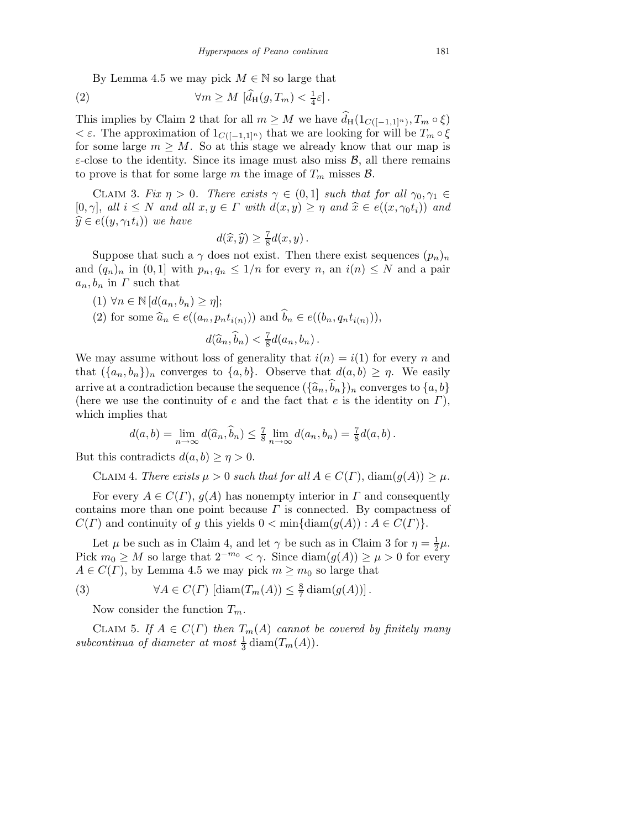By Lemma 4.5 we may pick  $M \in \mathbb{N}$  so large that

(2) 
$$
\forall m \geq M \left[ \widehat{d}_{\mathrm{H}}(g, T_m) < \frac{1}{4} \varepsilon \right].
$$

This implies by Claim 2 that for all  $m \geq M$  we have  $d_H(1_{C([-1,1]^n)}, T_m \circ \xi)$  $\epsilon \in \mathcal{E}$ . The approximation of  $1_{C([-1,1]^n)}$  that we are looking for will be  $T_m \circ \xi$ for some large  $m \geq M$ . So at this stage we already know that our map is  $\varepsilon$ -close to the identity. Since its image must also miss  $\mathcal{B}$ , all there remains to prove is that for some large m the image of  $T_m$  misses  $\mathcal{B}$ .

CLAIM 3. Fix  $\eta > 0$ . There exists  $\gamma \in (0,1]$  such that for all  $\gamma_0, \gamma_1 \in$ [0,  $\gamma$ ], all  $i \leq N$  and all  $x, y \in \Gamma$  with  $d(x, y) \geq \eta$  and  $\hat{x} \in e((x, \gamma_0 t_i))$  and  $\widehat{y} \in e((y, \gamma_1 t_i))$  we have

$$
d(\widehat{x}, \widehat{y}) \ge \frac{7}{8}d(x, y).
$$

Suppose that such a  $\gamma$  does not exist. Then there exist sequences  $(p_n)_n$ and  $(q_n)_n$  in  $(0,1]$  with  $p_n, q_n \leq 1/n$  for every n, an  $i(n) \leq N$  and a pair  $a_n, b_n$  in  $\Gamma$  such that

 $(1) \forall n \in \mathbb{N}$  [ $d(a_n, b_n) \geq \eta$ ]; (2) for some  $\widehat{a}_n \in e((a_n, p_n t_{i(n)}))$  and  $\widehat{b}_n \in e((b_n, q_n t_{i(n)})),$  $d(\widehat{a}_n, \widehat{b}_n) < \frac{7}{8}$  $rac{7}{8}d(a_n,b_n)$ .

We may assume without loss of generality that  $i(n) = i(1)$  for every n and that  $({a_n, b_n})_n$  converges to  ${a, b}$ . Observe that  $d(a, b) \geq \eta$ . We easily arrive at a contradiction because the sequence  $({\{\widehat{a}_n,\widehat{b}_n\}})_n$  converges to  ${a, b}$ (here we use the continuity of e and the fact that e is the identity on  $\Gamma$ ), which implies that

$$
d(a,b) = \lim_{n \to \infty} d(\widehat{a}_n, \widehat{b}_n) \leq \frac{7}{8} \lim_{n \to \infty} d(a_n, b_n) = \frac{7}{8} d(a, b).
$$

But this contradicts  $d(a, b) \geq \eta > 0$ .

CLAIM 4. There exists 
$$
\mu > 0
$$
 such that for all  $A \in C(\Gamma)$ ,  $\text{diam}(g(A)) \geq \mu$ .

For every  $A \in C(\Gamma)$ ,  $g(A)$  has nonempty interior in  $\Gamma$  and consequently contains more than one point because  $\Gamma$  is connected. By compactness of  $C(\Gamma)$  and continuity of g this yields  $0 < \min\{\text{diam}(g(A)) : A \in C(\Gamma)\}.$ 

Let  $\mu$  be such as in Claim 4, and let  $\gamma$  be such as in Claim 3 for  $\eta = \frac{1}{2}$  $rac{1}{2}\mu$ . Pick  $m_0 \geq M$  so large that  $2^{-m_0} < \gamma$ . Since  $\text{diam}(g(A)) \geq \mu > 0$  for every  $A \in C(\Gamma)$ , by Lemma 4.5 we may pick  $m \geq m_0$  so large that

(3) 
$$
\forall A \in C(\Gamma) \left[ \text{diam}(T_m(A)) \leq \frac{8}{7} \text{diam}(g(A)) \right].
$$

Now consider the function  $T_m$ .

CLAIM 5. If  $A \in C(\Gamma)$  then  $T_m(A)$  cannot be covered by finitely many subcontinua of diameter at most  $\frac{1}{3}$  diam $(T_m(A))$ .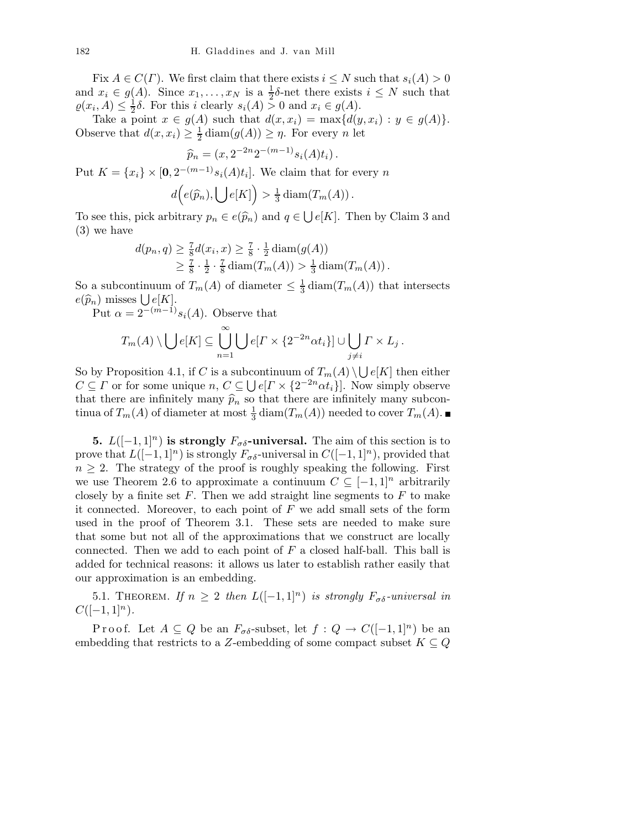Fix  $A \in C(\Gamma)$ . We first claim that there exists  $i \leq N$  such that  $s_i(A) > 0$ and  $x_i \in g(A)$ . Since  $x_1, \ldots, x_N$  is a  $\frac{1}{2}\delta$ -net there exists  $i \leq N$  such that  $\varrho(x_i, A) \leq \frac{1}{2}$  $\frac{1}{2}\delta$ . For this *i* clearly  $s_i(A) > 0$  and  $x_i \in g(A)$ .

Take a point  $x \in g(A)$  such that  $d(x, x_i) = \max\{d(y, x_i) : y \in g(A)\}.$ Observe that  $d(x, x_i) \geq \frac{1}{2} \operatorname{diam}(g(A)) \geq \eta$ . For every n let

$$
\widehat{p}_n = (x, 2^{-2n} 2^{-(m-1)} s_i(A) t_i).
$$

Put  $K = \{x_i\} \times [0, 2^{-(m-1)} s_i(A) t_i]$ . We claim that for every n

$$
d\Big(e(\widehat{p}_n), \bigcup e[K]\Big) > \frac{1}{3}\operatorname{diam}(T_m(A)).
$$

To see this, pick arbitrary  $p_n \in e(\widehat{p}_n)$  and  $q \in \bigcup e[K]$ . Then by Claim 3 and (3) we have

$$
d(p_n, q) \ge \frac{7}{8} d(x_i, x) \ge \frac{7}{8} \cdot \frac{1}{2} \operatorname{diam}(g(A))
$$
  
 
$$
\ge \frac{7}{8} \cdot \frac{1}{2} \cdot \frac{7}{8} \operatorname{diam}(T_m(A)) > \frac{1}{3} \operatorname{diam}(T_m(A)).
$$

So a subcontinuum of  $T_m(A)$  of diameter  $\leq \frac{1}{3}$  $\frac{1}{3}$  diam $(T_m(A))$  that intersects  $e(\widehat{p}_n)$  misses  $\bigcup e[K]$ .

Put  $\alpha = 2^{-(m-1)} s_i(A)$ . Observe that

$$
T_m(A) \setminus \bigcup e[K] \subseteq \bigcup_{n=1}^{\infty} \bigcup e[I \times \{2^{-2n} \alpha t_i\}] \cup \bigcup_{j \neq i} \Gamma \times L_j.
$$

So by Proposition 4.1, if C is a subcontinuum of  $T_m(A) \setminus \bigcup e[K]$  then either  $C \subseteq \Gamma$  or for some unique  $n, C \subseteq \bigcup e[\Gamma \times \{2^{-2n} \alpha t_i\}]$ . Now simply observe that there are infinitely many  $\hat{p}_n$  so that there are infinitely many subcontinua of  $T_m(A)$  of diameter at most  $\frac{1}{3}$  diam $(T_m(A))$  needed to cover  $T_m(A)$ .

**5.**  $L([-1, 1]^n)$  is strongly  $F_{\sigma\delta}$ -universal. The aim of this section is to prove that  $L([-1, 1]^{n})$  is strongly  $F_{\sigma\delta}$ -universal in  $C([-1, 1]^{n})$ , provided that  $n \geq 2$ . The strategy of the proof is roughly speaking the following. First we use Theorem 2.6 to approximate a continuum  $C \subseteq [-1,1]^n$  arbitrarily closely by a finite set  $F$ . Then we add straight line segments to  $F$  to make it connected. Moreover, to each point of  $F$  we add small sets of the form used in the proof of Theorem 3.1. These sets are needed to make sure that some but not all of the approximations that we construct are locally connected. Then we add to each point of  $F$  a closed half-ball. This ball is added for technical reasons: it allows us later to establish rather easily that our approximation is an embedding.

5.1. THEOREM. If  $n \geq 2$  then  $L([-1,1]^n)$  is strongly  $F_{\sigma\delta}$ -universal in  $C([-1, 1]^{n}).$ 

P r o o f. Let  $A \subseteq Q$  be an  $F_{\sigma \delta}$ -subset, let  $f : Q \to C([-1,1]^n)$  be an embedding that restricts to a Z-embedding of some compact subset  $K \subseteq Q$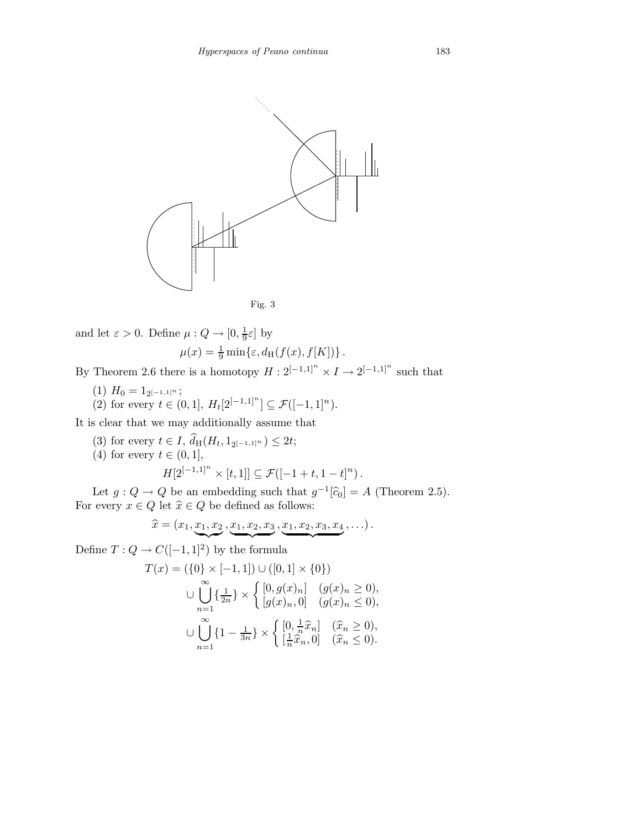

$$
Fig. 3
$$

and let 
$$
\varepsilon > 0
$$
. Define  $\mu : Q \to [0, \frac{1}{9}\varepsilon]$  by  

$$
\mu(x) = \frac{1}{9} \min\{\varepsilon, d_H(f(x), f[K])\}.
$$

By Theorem 2.6 there is a homotopy  $H: 2^{[-1,1]^n} \times I \to 2^{[-1,1]^n}$  such that

- $(1)$   $H_0 = 1_{2^{[-1,1]^n}};$
- (2) for every  $t \in (0,1], H_t[2^{[-1,1]^n}] \subseteq \mathcal{F}([-1,1]^n)$ .

It is clear that we may additionally assume that

- (3) for every  $t \in I$ ,  $d_H(H_t, 1_{2^{[-1,1]^n}}) \le 2t$ ;
- (4) for every  $t \in (0,1],$

$$
H[2^{[-1,1]^n} \times [t,1]] \subseteq \mathcal{F}([-1+t,1-t]^n).
$$

Let  $g: Q \to Q$  be an embedding such that  $g^{-1}[\hat{c}_0] = A$  (Theorem 2.5). For every  $x \in Q$  let  $\hat{x} \in Q$  be defined as follows:

$$
\widehat{x} = (x_1, \underbrace{x_1, x_2}, \underbrace{x_1, x_2, x_3}, \underbrace{x_1, x_2, x_3, x_4}, \ldots).
$$

Define  $T: Q \to C([-1, 1]^2)$  by the formula

$$
T(x) = (\{0\} \times [-1,1]) \cup ([0,1] \times \{0\})
$$
  

$$
\cup \bigcup_{n=1}^{\infty} {\{\frac{1}{2n}\}} \times \left\{ \begin{aligned} [0,g(x)_n] & (g(x)_n \ge 0), \\ [g(x)_n,0] & (g(x)_n \le 0), \end{aligned} \right.
$$
  

$$
\cup \bigcup_{n=1}^{\infty} {\{1 - \frac{1}{3n}\}} \times \left\{ \begin{aligned} [0, \frac{1}{n}\hat{x}_n] & (\hat{x}_n \ge 0), \\ [\frac{1}{n}\hat{x}_n,0] & (\hat{x}_n \le 0). \end{aligned} \right.
$$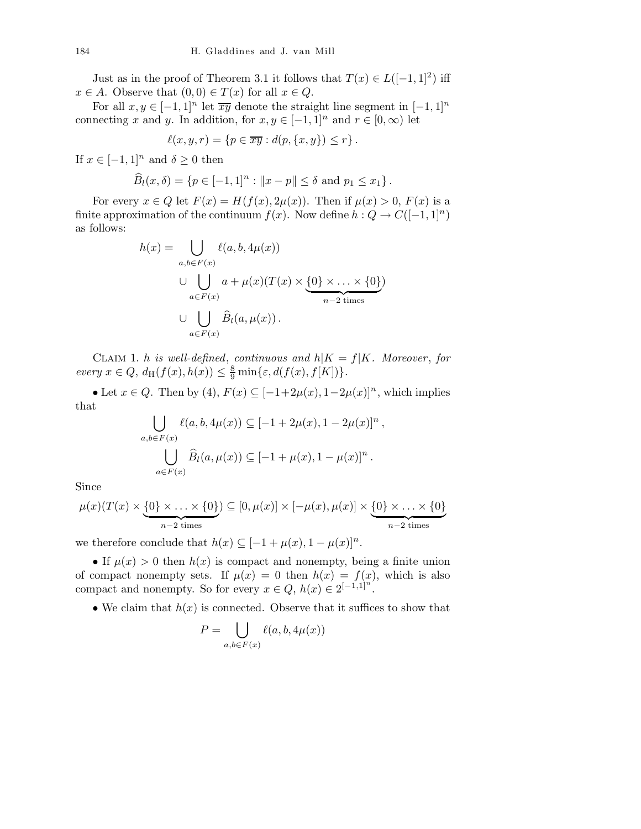Just as in the proof of Theorem 3.1 it follows that  $T(x) \in L([-1,1]^2)$  iff  $x \in A$ . Observe that  $(0,0) \in T(x)$  for all  $x \in Q$ .

For all  $x, y \in [-1, 1]^n$  let  $\overline{xy}$  denote the straight line segment in  $[-1, 1]^n$ connecting x and y. In addition, for  $x, y \in [-1, 1]^n$  and  $r \in [0, \infty)$  let

$$
\ell(x, y, r) = \{p \in \overline{xy} : d(p, \{x, y\}) \le r\}.
$$

If  $x \in [-1, 1]^n$  and  $\delta \ge 0$  then

$$
\widehat{B}_l(x,\delta) = \{ p \in [-1,1]^n : ||x - p|| \le \delta \text{ and } p_1 \le x_1 \}.
$$

For every  $x \in Q$  let  $F(x) = H(f(x), 2\mu(x))$ . Then if  $\mu(x) > 0$ ,  $F(x)$  is a finite approximation of the continuum  $f(x)$ . Now define  $h: Q \to C([-1, 1]^n)$ as follows:

$$
h(x) = \bigcup_{a,b \in F(x)} \ell(a, b, 4\mu(x))
$$
  

$$
\cup \bigcup_{a \in F(x)} a + \mu(x)(T(x) \times \underbrace{\{0\} \times \ldots \times \{0\}}_{n-2 \text{ times}})
$$
  

$$
\cup \bigcup_{a \in F(x)} \widehat{B}_l(a, \mu(x)).
$$

CLAIM 1. h is well-defined, continuous and  $h|K = f|K$ . Moreover, for every  $x \in Q$ ,  $d_H(f(x), h(x)) \leq \frac{8}{9} \min{\varepsilon, d(f(x), f[K])}$ .

• Let  $x \in Q$ . Then by  $(4)$ ,  $F(x) \subseteq [-1+2\mu(x), 1-2\mu(x)]^n$ , which implies that

$$
\bigcup_{a,b \in F(x)} \ell(a, b, 4\mu(x)) \subseteq [-1 + 2\mu(x), 1 - 2\mu(x)]^n,
$$
  

$$
\bigcup_{a \in F(x)} \widehat{B}_l(a, \mu(x)) \subseteq [-1 + \mu(x), 1 - \mu(x)]^n.
$$

Since

$$
\mu(x)(T(x) \times \underbrace{\{0\} \times \ldots \times \{0\}}_{n-2 \text{ times}}) \subseteq [0, \mu(x)] \times [-\mu(x), \mu(x)] \times \underbrace{\{0\} \times \ldots \times \{0\}}_{n-2 \text{ times}}
$$

we therefore conclude that  $h(x) \subseteq [-1 + \mu(x), 1 - \mu(x)]^n$ .

• If  $\mu(x) > 0$  then  $h(x)$  is compact and nonempty, being a finite union of compact nonempty sets. If  $\mu(x) = 0$  then  $h(x) = f(x)$ , which is also compact and nonempty. So for every  $x \in Q$ ,  $h(x) \in 2^{[-1,1]^n}$ .

• We claim that  $h(x)$  is connected. Observe that it suffices to show that

$$
P = \bigcup_{a,b \in F(x)} \ell(a,b,4\mu(x))
$$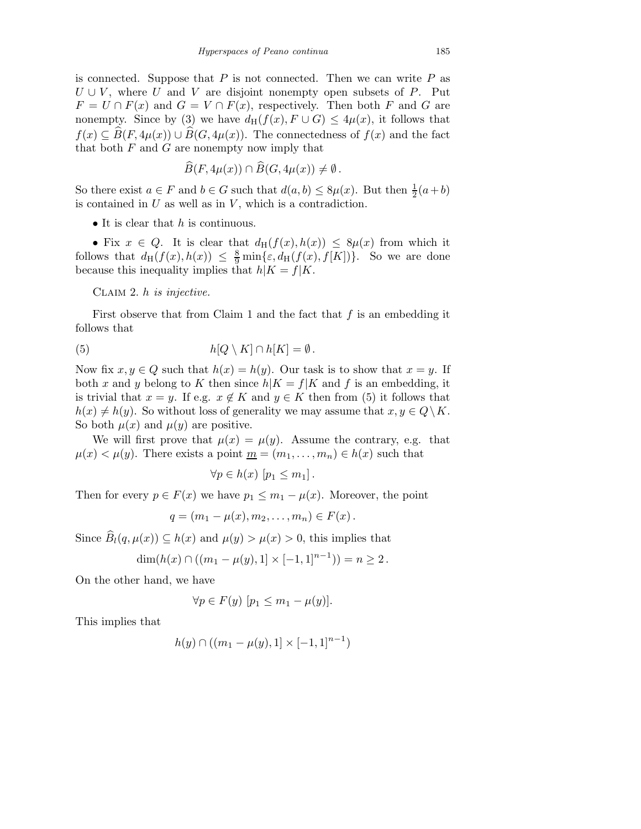is connected. Suppose that  $P$  is not connected. Then we can write  $P$  as  $U \cup V$ , where U and V are disjoint nonempty open subsets of P. Put  $F = U \cap F(x)$  and  $G = V \cap F(x)$ , respectively. Then both F and G are nonempty. Since by (3) we have  $d_H(f(x), F \cup G) \leq 4\mu(x)$ , it follows that  $f(x) \subseteq \widehat{B}(F, 4\mu(x)) \cup \widehat{B}(G, 4\mu(x)).$  The connectedness of  $f(x)$  and the fact that both  $F$  and  $G$  are nonempty now imply that

$$
\widehat{B}(F, 4\mu(x)) \cap \widehat{B}(G, 4\mu(x)) \neq \emptyset.
$$

So there exist  $a \in F$  and  $b \in G$  such that  $d(a, b) \leq 8\mu(x)$ . But then  $\frac{1}{2}(a+b)$ is contained in  $U$  as well as in  $V$ , which is a contradiction.

• It is clear that  $h$  is continuous.

• Fix  $x \in Q$ . It is clear that  $d_H(f(x), h(x)) \leq 8\mu(x)$  from which it follows that  $d_H(f(x), h(x)) \leq \frac{8}{9} \min{\varepsilon, d_H(f(x), f[K])}$ . So we are done because this inequality implies that  $h|K = f|K$ .

CLAIM 2.  $h$  is injective.

First observe that from Claim 1 and the fact that  $f$  is an embedding it follows that

(5) 
$$
h[Q \setminus K] \cap h[K] = \emptyset.
$$

Now fix  $x, y \in Q$  such that  $h(x) = h(y)$ . Our task is to show that  $x = y$ . If both x and y belong to K then since  $h|K = f|K$  and f is an embedding, it is trivial that  $x = y$ . If e.g.  $x \notin K$  and  $y \in K$  then from (5) it follows that  $h(x) \neq h(y)$ . So without loss of generality we may assume that  $x, y \in Q\backslash K$ . So both  $\mu(x)$  and  $\mu(y)$  are positive.

We will first prove that  $\mu(x) = \mu(y)$ . Assume the contrary, e.g. that  $\mu(x) < \mu(y)$ . There exists a point  $\underline{m} = (m_1, \dots, m_n) \in h(x)$  such that

$$
\forall p \in h(x) \ [p_1 \le m_1].
$$

Then for every  $p \in F(x)$  we have  $p_1 \leq m_1 - \mu(x)$ . Moreover, the point

$$
q=(m_1-\mu(x),m_2,\ldots,m_n)\in F(x).
$$

Since  $\widehat{B}_l(q,\mu(x)) \subseteq h(x)$  and  $\mu(y) > \mu(x) > 0$ , this implies that

$$
\dim(h(x) \cap ((m_1 - \mu(y), 1] \times [-1, 1]^{n-1})) = n \ge 2.
$$

On the other hand, we have

$$
\forall p \in F(y) \ [p_1 \le m_1 - \mu(y)].
$$

This implies that

$$
h(y) \cap ((m_1 - \mu(y), 1] \times [-1, 1]^{n-1})
$$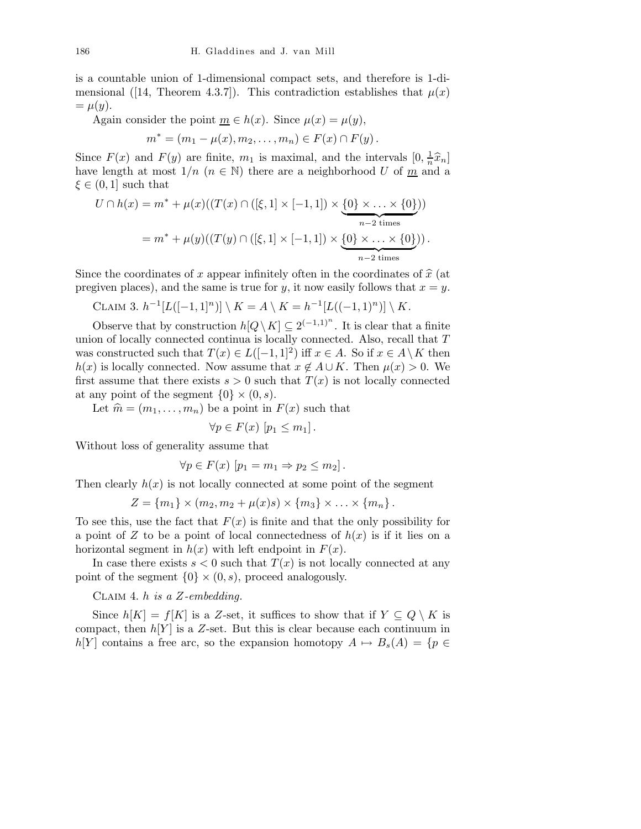is a countable union of 1-dimensional compact sets, and therefore is 1-dimensional ([14, Theorem 4.3.7]). This contradiction establishes that  $\mu(x)$  $=\mu(y).$ 

Again consider the point  $\underline{m} \in h(x)$ . Since  $\mu(x) = \mu(y)$ ,

$$
m^* = (m_1 - \mu(x), m_2, \dots, m_n) \in F(x) \cap F(y).
$$

Since  $F(x)$  and  $F(y)$  are finite,  $m_1$  is maximal, and the intervals  $[0, \frac{1}{n} \hat{x}_n]$ have length at most  $1/n$   $(n \in \mathbb{N})$  there are a neighborhood U of  $\underline{m}$  and a  $\xi \in (0,1]$  such that

$$
U \cap h(x) = m^* + \mu(x)((T(x) \cap ([\xi, 1] \times [-1, 1]) \times \underbrace{\{0\} \times \ldots \times \{0\}}_{n-2 \text{ times}}))
$$
  
=  $m^* + \mu(y)((T(y) \cap ([\xi, 1] \times [-1, 1]) \times \underbrace{\{0\} \times \ldots \times \{0\}}_{n-2 \text{ times}})).$ 

Since the coordinates of x appear infinitely often in the coordinates of  $\hat{x}$  (at pregiven places), and the same is true for y, it now easily follows that  $x = y$ .

CLAIM 3. 
$$
h^{-1}[L([-1,1]^n)] \setminus K = A \setminus K = h^{-1}[L((-1,1)^n)] \setminus K.
$$

Observe that by construction  $h[Q \setminus K] \subseteq 2^{(-1,1)^n}$ . It is clear that a finite union of locally connected continua is locally connected. Also, recall that  $T$ was constructed such that  $T(x) \in L([-1,1]^2)$  iff  $x \in A$ . So if  $x \in A \setminus K$  then  $h(x)$  is locally connected. Now assume that  $x \notin A \cup K$ . Then  $\mu(x) > 0$ . We first assume that there exists  $s > 0$  such that  $T(x)$  is not locally connected at any point of the segment  $\{0\} \times (0, s)$ .

Let  $\hat{m} = (m_1, \ldots, m_n)$  be a point in  $F(x)$  such that

$$
\forall p \in F(x) \ [p_1 \le m_1].
$$

Without loss of generality assume that

$$
\forall p \in F(x) \ [p_1 = m_1 \Rightarrow p_2 \le m_2].
$$

Then clearly  $h(x)$  is not locally connected at some point of the segment

$$
Z = \{m_1\} \times (m_2, m_2 + \mu(x)s) \times \{m_3\} \times \ldots \times \{m_n\}.
$$

To see this, use the fact that  $F(x)$  is finite and that the only possibility for a point of Z to be a point of local connectedness of  $h(x)$  is if it lies on a horizontal segment in  $h(x)$  with left endpoint in  $F(x)$ .

In case there exists  $s < 0$  such that  $T(x)$  is not locally connected at any point of the segment  $\{0\} \times (0, s)$ , proceed analogously.

CLAIM 4. h is a  $Z$ -embedding.

Since  $h[K] = f[K]$  is a Z-set, it suffices to show that if  $Y \subseteq Q \setminus K$  is compact, then  $h[Y]$  is a Z-set. But this is clear because each continuum in h[Y] contains a free arc, so the expansion homotopy  $A \mapsto B_s(A) = \{p \in$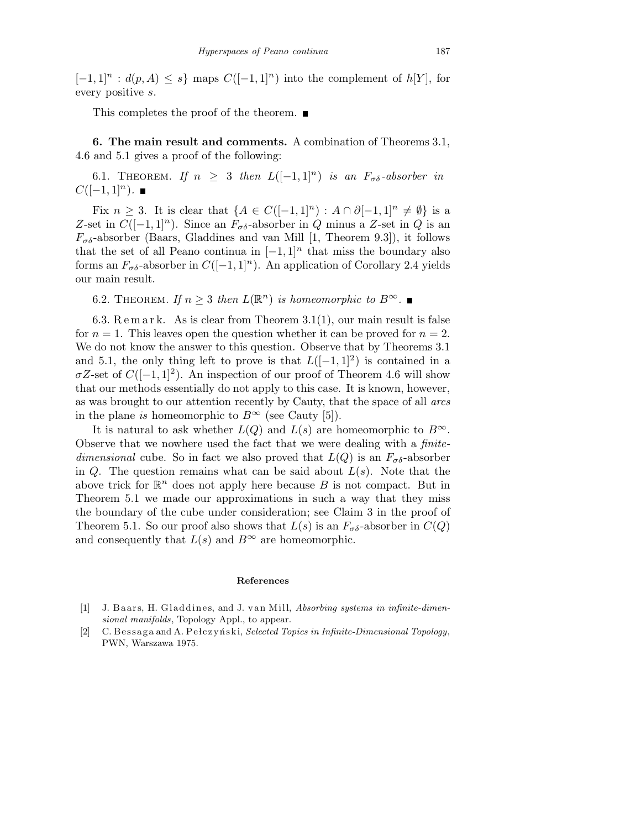$[-1, 1]$ <sup>n</sup> :  $d(p, A) \leq s$ } maps  $C([-1, 1]$ <sup>n</sup>) into the complement of  $h[Y]$ , for every positive s.

This completes the proof of the theorem.

6. The main result and comments. A combination of Theorems 3.1, 4.6 and 5.1 gives a proof of the following:

6.1. THEOREM. If  $n \geq 3$  then  $L([-1,1]^n)$  is an  $F_{\sigma \delta}$ -absorber in  $C([-1, 1]<sup>n</sup>)$ .  $\blacksquare$ 

Fix  $n \geq 3$ . It is clear that  $\{A \in C([-1,1]^n) : A \cap \partial [-1,1]^n \neq \emptyset\}$  is a Z-set in  $C([-1, 1]<sup>n</sup>)$ . Since an  $F_{\sigma\delta}$ -absorber in Q minus a Z-set in Q is an  $F_{\sigma\delta}$ -absorber (Baars, Gladdines and van Mill [1, Theorem 9.3]), it follows that the set of all Peano continua in  $[-1, 1]^n$  that miss the boundary also forms an  $F_{\sigma\delta}$ -absorber in  $C([-1, 1]^n)$ . An application of Corollary 2.4 yields our main result.

6.2. THEOREM. If  $n \geq 3$  then  $L(\mathbb{R}^n)$  is homeomorphic to  $B^{\infty}$ .

6.3.  $\text{Re}\,\text{m}\,\text{ar}\,\text{k}$ . As is clear from Theorem 3.1(1), our main result is false for  $n = 1$ . This leaves open the question whether it can be proved for  $n = 2$ . We do not know the answer to this question. Observe that by Theorems 3.1 and 5.1, the only thing left to prove is that  $L([-1,1]^2)$  is contained in a  $\sigma Z$ -set of  $C([-1, 1]^2)$ . An inspection of our proof of Theorem 4.6 will show that our methods essentially do not apply to this case. It is known, however, as was brought to our attention recently by Cauty, that the space of all arcs in the plane is homeomorphic to  $B^{\infty}$  (see Cauty [5]).

It is natural to ask whether  $L(Q)$  and  $L(s)$  are homeomorphic to  $B^{\infty}$ . Observe that we nowhere used the fact that we were dealing with a finitedimensional cube. So in fact we also proved that  $L(Q)$  is an  $F_{\sigma\delta}$ -absorber in  $Q$ . The question remains what can be said about  $L(s)$ . Note that the above trick for  $\mathbb{R}^n$  does not apply here because B is not compact. But in Theorem 5.1 we made our approximations in such a way that they miss the boundary of the cube under consideration; see Claim 3 in the proof of Theorem 5.1. So our proof also shows that  $L(s)$  is an  $F_{\sigma\delta}$ -absorber in  $C(Q)$ and consequently that  $L(s)$  and  $B^{\infty}$  are homeomorphic.

## **References**

- [1] J. Baars, H. Gladdines, and J. van Mill, *Absorbing systems in infinite-dimensional manifolds*, Topology Appl., to appear.
- [2] C. Bessaga and A. Pełczyński, *Selected Topics in Infinite-Dimensional Topology*, PWN, Warszawa 1975.